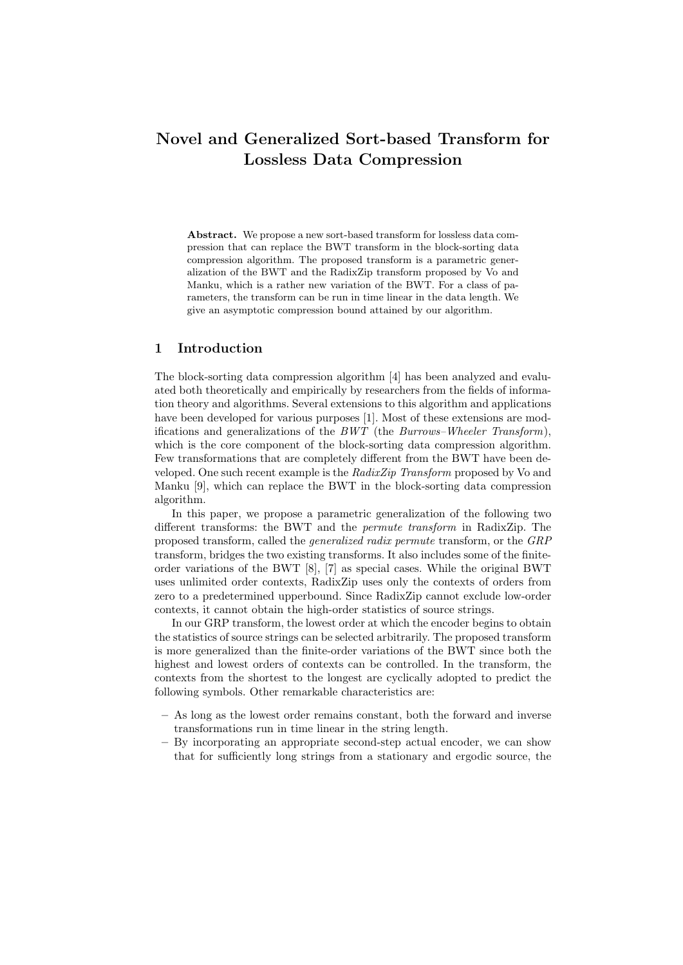# **Novel and Generalized Sort-based Transform for Lossless Data Compression**

**Abstract.** We propose a new sort-based transform for lossless data compression that can replace the BWT transform in the block-sorting data compression algorithm. The proposed transform is a parametric generalization of the BWT and the RadixZip transform proposed by Vo and Manku, which is a rather new variation of the BWT. For a class of parameters, the transform can be run in time linear in the data length. We give an asymptotic compression bound attained by our algorithm.

## **1 Introduction**

The block-sorting data compression algorithm [4] has been analyzed and evaluated both theoretically and empirically by researchers from the fields of information theory and algorithms. Several extensions to this algorithm and applications have been developed for various purposes [1]. Most of these extensions are modifications and generalizations of the *BWT* (the *Burrows–Wheeler Transform*), which is the core component of the block-sorting data compression algorithm. Few transformations that are completely different from the BWT have been developed. One such recent example is the *RadixZip Transform* proposed by Vo and Manku [9], which can replace the BWT in the block-sorting data compression algorithm.

In this paper, we propose a parametric generalization of the following two different transforms: the BWT and the *permute transform* in RadixZip. The proposed transform, called the *generalized radix permute* transform, or the *GRP* transform, bridges the two existing transforms. It also includes some of the finiteorder variations of the BWT [8], [7] as special cases. While the original BWT uses unlimited order contexts, RadixZip uses only the contexts of orders from zero to a predetermined upperbound. Since RadixZip cannot exclude low-order contexts, it cannot obtain the high-order statistics of source strings.

In our GRP transform, the lowest order at which the encoder begins to obtain the statistics of source strings can be selected arbitrarily. The proposed transform is more generalized than the finite-order variations of the BWT since both the highest and lowest orders of contexts can be controlled. In the transform, the contexts from the shortest to the longest are cyclically adopted to predict the following symbols. Other remarkable characteristics are:

- **–** As long as the lowest order remains constant, both the forward and inverse transformations run in time linear in the string length.
- **–** By incorporating an appropriate second-step actual encoder, we can show that for sufficiently long strings from a stationary and ergodic source, the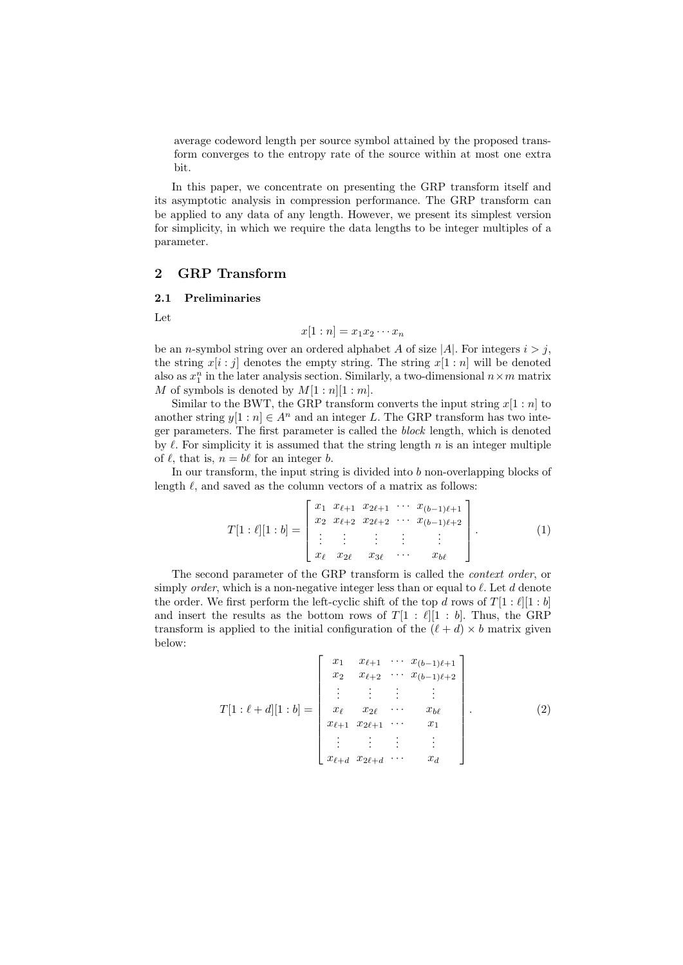average codeword length per source symbol attained by the proposed transform converges to the entropy rate of the source within at most one extra bit.

In this paper, we concentrate on presenting the GRP transform itself and its asymptotic analysis in compression performance. The GRP transform can be applied to any data of any length. However, we present its simplest version for simplicity, in which we require the data lengths to be integer multiples of a parameter.

## **2 GRP Transform**

#### **2.1 Preliminaries**

Let

$$
x[1:n] = x_1 x_2 \cdots x_n
$$

be an *n*-symbol string over an ordered alphabet *A* of size  $|A|$ . For integers  $i > j$ , the string  $x[i:j]$  denotes the empty string. The string  $x[1:n]$  will be denoted also as  $x_1^n$  in the later analysis section. Similarly, a two-dimensional  $n \times m$  matrix *M* of symbols is denoted by  $M[1:n][1:m]$ .

Similar to the BWT, the GRP transform converts the input string  $x[1:n]$  to another string  $y[1:n] \in A^n$  and an integer L. The GRP transform has two integer parameters. The first parameter is called the *block* length, which is denoted by  $\ell$ . For simplicity it is assumed that the string length  $n$  is an integer multiple of  $\ell$ , that is,  $n = b\ell$  for an integer *b*.

In our transform, the input string is divided into *b* non-overlapping blocks of length  $\ell$ , and saved as the column vectors of a matrix as follows:

$$
T[1:\ell][1:b] = \begin{bmatrix} x_1 & x_{\ell+1} & x_{2\ell+1} & \cdots & x_{(b-1)\ell+1} \\ x_2 & x_{\ell+2} & x_{2\ell+2} & \cdots & x_{(b-1)\ell+2} \\ \vdots & \vdots & \vdots & \vdots & \vdots \\ x_{\ell} & x_{2\ell} & x_{3\ell} & \cdots & x_{b\ell} \end{bmatrix} . \tag{1}
$$

The second parameter of the GRP transform is called the *context order*, or simply *order*, which is a non-negative integer less than or equal to  $\ell$ . Let  $d$  denote the order. We first perform the left-cyclic shift of the top *d* rows of  $T[1:\ell][1:b]$ and insert the results as the bottom rows of  $T[1 : \ell][1 : b]$ . Thus, the GRP transform is applied to the initial configuration of the  $(\ell + d) \times b$  matrix given below:

$$
T[1:\ell+d][1:b] = \begin{bmatrix} x_1 & x_{\ell+1} & \cdots & x_{(b-1)\ell+1} \\ x_2 & x_{\ell+2} & \cdots & x_{(b-1)\ell+2} \\ \vdots & \vdots & \vdots & \vdots \\ x_{\ell} & x_{2\ell} & \cdots & x_{b\ell} \\ x_{\ell+1} & x_{2\ell+1} & \cdots & x_1 \\ \vdots & \vdots & \vdots & \vdots \\ x_{\ell+d} & x_{2\ell+d} & \cdots & x_d \end{bmatrix}
$$
 (2)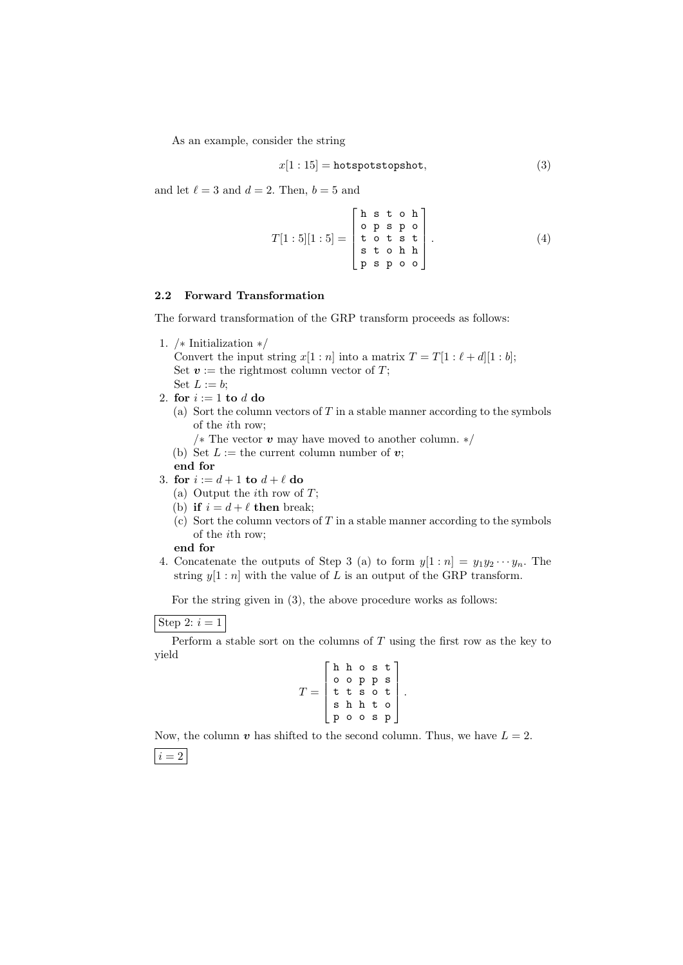As an example, consider the string

$$
x[1:15] = \text{hotspotstopshot},\tag{3}
$$

and let  $\ell = 3$  and  $d = 2$ . Then,  $b = 5$  and

$$
T[1:5][1:5] = \begin{bmatrix} h & s & t & o & h \\ o & p & s & p & o \\ t & o & t & s & t \\ s & t & o & h & h \\ p & s & p & o & o \end{bmatrix}.
$$
 (4)

## **2.2 Forward Transformation**

The forward transformation of the GRP transform proceeds as follows:

1. */∗* Initialization *∗/*

Convert the input string  $x[1:n]$  into a matrix  $T = T[1: \ell + d][1:b]$ ; Set  $v :=$  the rightmost column vector of  $T$ ; Set  $L := b$ ;

- 2. **for** *i* := 1 **to** *d* **do**
	- (a) Sort the column vectors of *T* in a stable manner according to the symbols of the *i*th row;
		- */∗* The vector *v* may have moved to another column. *∗/*
	- (b) Set  $L :=$  the current column number of  $v$ ;
	- **end for**
- 3. **for**  $i := d + 1$  **to**  $d + \ell$  **do** 
	- (a) Output the *i*th row of *T*;
	- (b) **if**  $i = d + \ell$  **then** break;
	- (c) Sort the column vectors of *T* in a stable manner according to the symbols of the *i*th row;

## **end for**

4. Concatenate the outputs of Step 3 (a) to form  $y[1:n] = y_1y_2 \cdots y_n$ . The string  $y[1:n]$  with the value of *L* is an output of the GRP transform.

For the string given in (3), the above procedure works as follows:

Step 2:  $i=1$ 

Perform a stable sort on the columns of *T* using the first row as the key to yield  $\mathbf{r}$  $\overline{a}$ 

$$
T = \left[ \begin{array}{cccc} {\tt h} & {\tt h} & {\tt o} & {\tt s} & {\tt t} \\ {\tt o} & {\tt o} & {\tt p} & {\tt p} & {\tt s} \\ {\tt t} & {\tt t} & {\tt s} & {\tt o} & {\tt t} \\ {\tt s} & {\tt h} & {\tt h} & {\tt t} & {\tt o} \\ {\tt p} & {\tt o} & {\tt o} & {\tt s} & {\tt p} \end{array} \right].
$$

Now, the column  $v$  has shifted to the second column. Thus, we have  $L = 2$ .  $\vert i=2 \vert$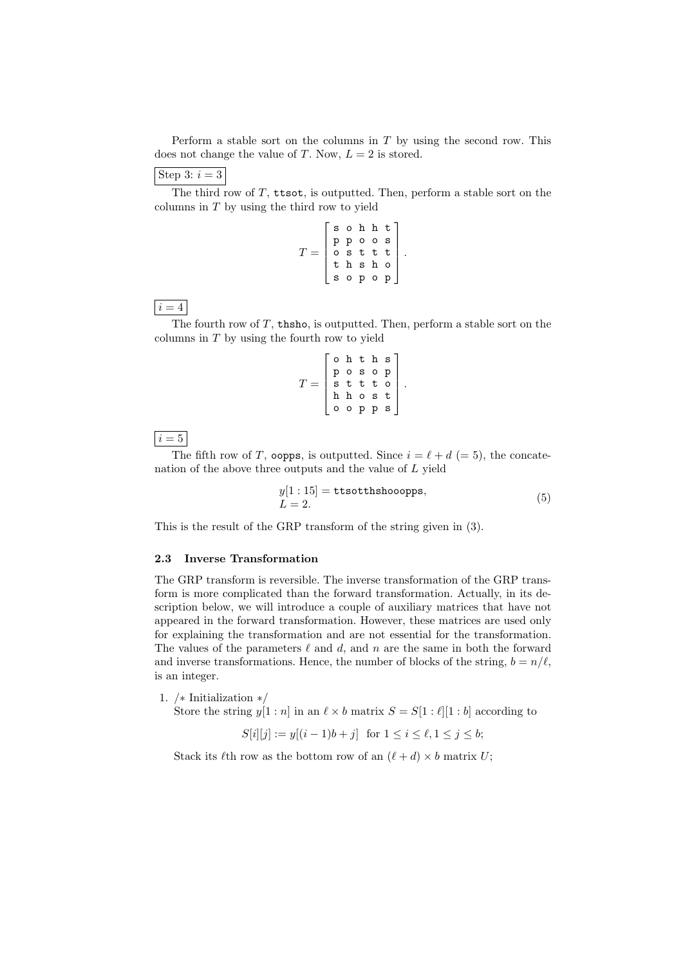Perform a stable sort on the columns in *T* by using the second row. This does not change the value of *T*. Now,  $L = 2$  is stored.

## Step 3:  $i=3$

The third row of *T*, ttsot*,* is outputted. Then, perform a stable sort on the columns in *T* by using the third row to yield

| sohht<br>ppoos<br>osttt<br>thsho<br>thsho<br>sopop |  |  |  |
|----------------------------------------------------|--|--|--|

*.*

*.*

 $i = 4$ 

The fourth row of *T*, thsho*,* is outputted. Then, perform a stable sort on the columns in *T* by using the fourth row to yield

$$
T = \left[ \begin{array}{cccc} \texttt{o} & \texttt{h} & \texttt{t} & \texttt{h} & \texttt{s} \\ \texttt{p} & \texttt{o} & \texttt{s} & \texttt{o} & \texttt{p} \\ \texttt{s} & \texttt{t} & \texttt{t} & \texttt{t} & \texttt{o} \\ \texttt{h} & \texttt{h} & \texttt{o} & \texttt{s} & \texttt{t} \\ \texttt{o} & \texttt{o} & \texttt{p} & \texttt{p} & \texttt{s} \end{array} \right]
$$

 $i = 5$ 

The fifth row of *T*, oopps, is outputted. Since  $i = \ell + d$  (= 5), the concatenation of the above three outputs and the value of *L* yield

$$
y[1:15] = \text{ttsotthshooopps},
$$
  

$$
L = 2.
$$
 (5)

This is the result of the GRP transform of the string given in (3).

#### **2.3 Inverse Transformation**

The GRP transform is reversible. The inverse transformation of the GRP transform is more complicated than the forward transformation. Actually, in its description below, we will introduce a couple of auxiliary matrices that have not appeared in the forward transformation. However, these matrices are used only for explaining the transformation and are not essential for the transformation. The values of the parameters  $\ell$  and  $d$ , and  $n$  are the same in both the forward and inverse transformations. Hence, the number of blocks of the string,  $b = n/\ell$ , is an integer.

1. */∗* Initialization *∗/*

Store the string  $y[1:n]$  in an  $\ell \times b$  matrix  $S = S[1:\ell][1:b]$  according to

$$
S[i][j] := y[(i-1)b + j] \text{ for } 1 \le i \le \ell, 1 \le j \le b;
$$

Stack its  $\ell$ th row as the bottom row of an  $(\ell + d) \times b$  matrix *U*;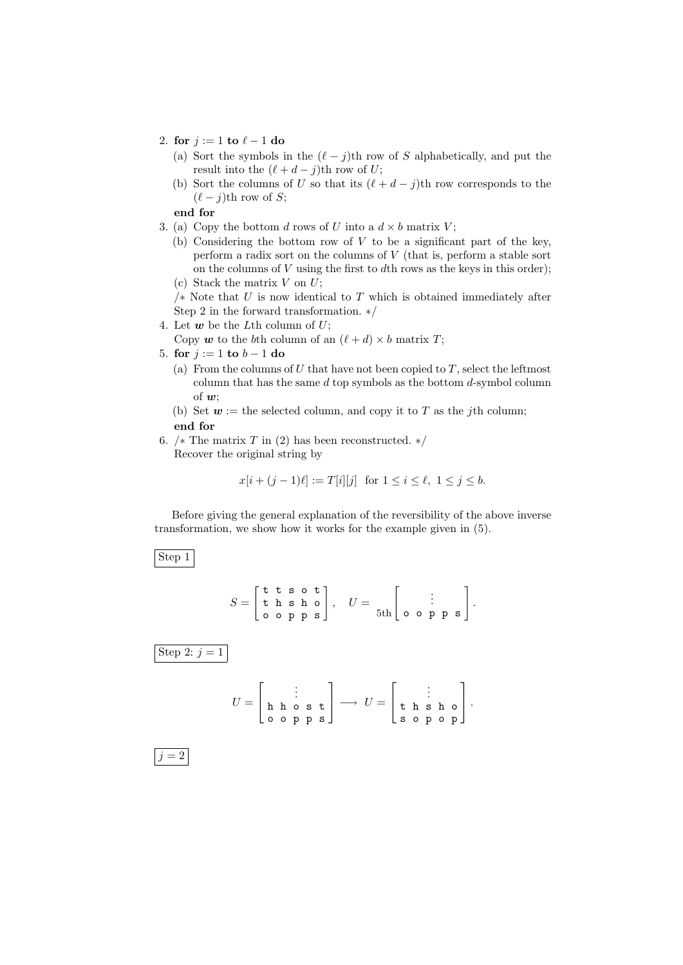- 2. **for**  $j := 1$  **to**  $\ell 1$  **do** 
	- (a) Sort the symbols in the  $(\ell j)$ th row of *S* alphabetically, and put the result into the  $(\ell + d - j)$ th row of *U*;
	- (b) Sort the columns of *U* so that its  $(\ell + d j)$ th row corresponds to the  $(\ell - j)$ th row of *S*;

**end for**

- 3. (a) Copy the bottom *d* rows of *U* into a  $d \times b$  matrix *V*;
	- (b) Considering the bottom row of *V* to be a significant part of the key, perform a radix sort on the columns of *V* (that is, perform a stable sort on the columns of *V* using the first to *d*th rows as the keys in this order); (c) Stack the matrix *V* on *U*;
	- */∗* Note that *U* is now identical to *T* which is obtained immediately after Step 2 in the forward transformation. *∗/*
- 4. Let  $w$  be the *L*th column of  $U$ ;

Copy  $w$  to the *b*th column of an  $(\ell + d) \times b$  matrix *T*;

- 5. **for**  $j := 1$  **to**  $b 1$  **do** 
	- (a) From the columns of  $U$  that have not been copied to  $T$ , select the leftmost column that has the same *d* top symbols as the bottom *d*-symbol column of *w*;
	- (b) Set  $w :=$  the selected column, and copy it to *T* as the *j*th column; **end for**
- 6. */∗* The matrix *T* in (2) has been reconstructed. *∗/* Recover the original string by

$$
x[i + (j - 1)\ell] := T[i][j] \text{ for } 1 \le i \le \ell, \ 1 \le j \le b.
$$

Before giving the general explanation of the reversibility of the above inverse transformation, we show how it works for the example given in (5).

Step 1

$$
S = \begin{bmatrix} \texttt{t} & \texttt{s} & \texttt{o} & \texttt{t} \\ \texttt{t} & \texttt{h} & \texttt{s} & \texttt{h} & \texttt{o} \\ \texttt{o} & \texttt{o} & \texttt{p} & \texttt{s} \end{bmatrix}, \quad U = \begin{bmatrix} \vdots & \vdots & \vdots \\ \texttt{0} & \texttt{o} & \texttt{p} & \texttt{s} \end{bmatrix}.
$$

Step 2:  $j = 1$ 

*U* = . . . h h o s t o o p p s *−→ U* = . . . t h s h o s o p o p *.*

 $j = 2$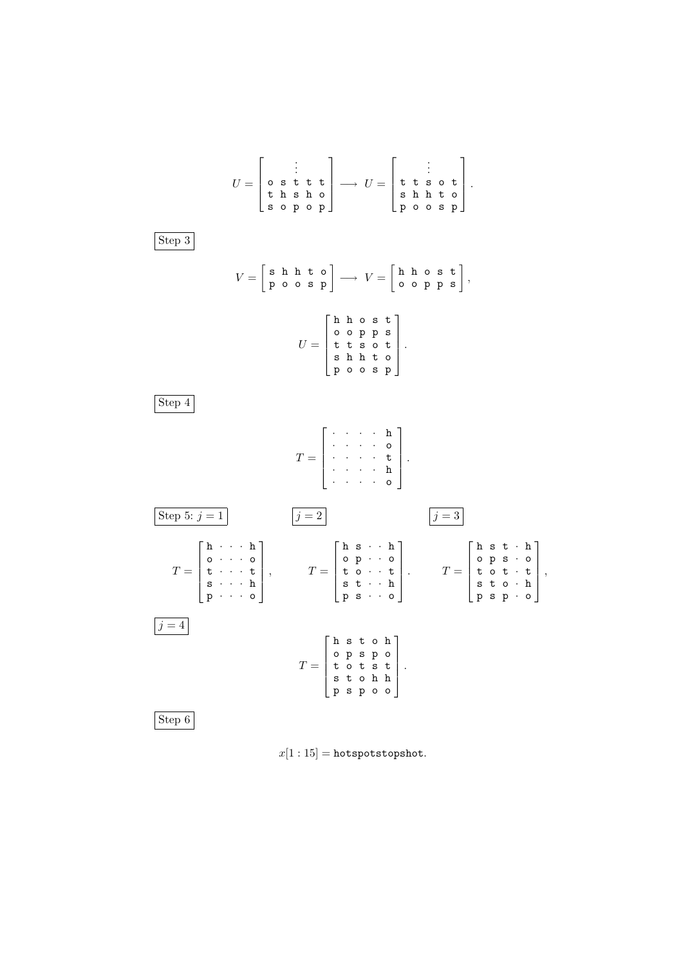

 $x[1:15] =$ hotspotstopshot.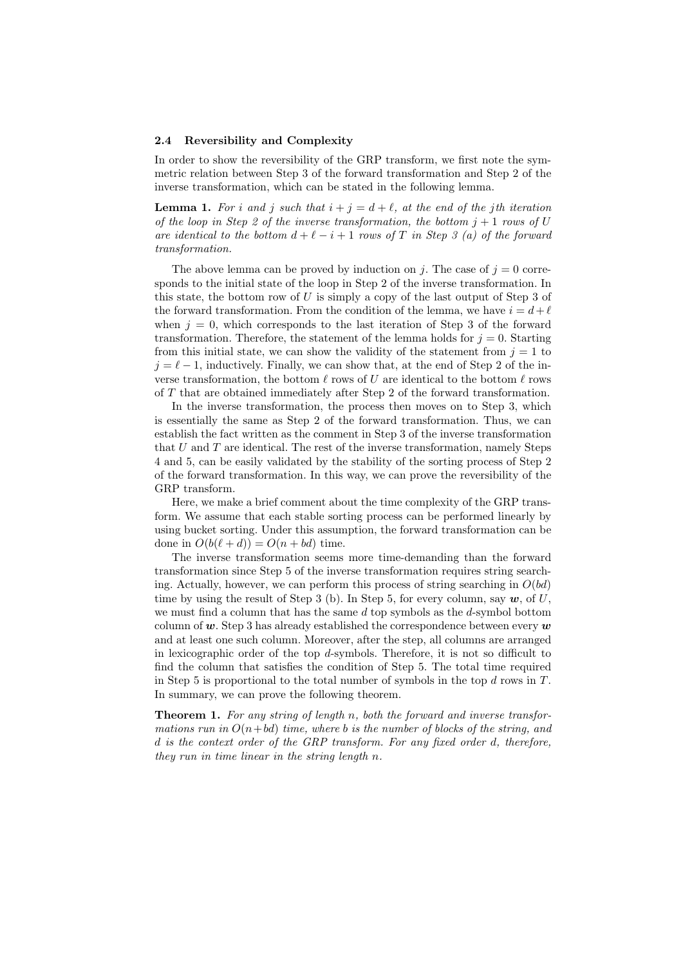#### **2.4 Reversibility and Complexity**

In order to show the reversibility of the GRP transform, we first note the symmetric relation between Step 3 of the forward transformation and Step 2 of the inverse transformation, which can be stated in the following lemma.

**Lemma 1.** For *i* and *j* such that  $i + j = d + \ell$ , at the end of the *j*th iteration *of the loop in Step 2 of the inverse transformation, the bottom*  $j + 1$  *rows of*  $U$ *are identical to the bottom*  $d + \ell - i + 1$  *rows of T in Step 3 (a) of the forward transformation.*

The above lemma can be proved by induction on *j*. The case of  $j = 0$  corresponds to the initial state of the loop in Step 2 of the inverse transformation. In this state, the bottom row of *U* is simply a copy of the last output of Step 3 of the forward transformation. From the condition of the lemma, we have  $i = d + \ell$ when  $j = 0$ , which corresponds to the last iteration of Step 3 of the forward transformation. Therefore, the statement of the lemma holds for  $j = 0$ . Starting from this initial state, we can show the validity of the statement from  $j = 1$  to  $j = \ell - 1$ , inductively. Finally, we can show that, at the end of Step 2 of the inverse transformation, the bottom  $\ell$  rows of *U* are identical to the bottom  $\ell$  rows of *T* that are obtained immediately after Step 2 of the forward transformation.

In the inverse transformation, the process then moves on to Step 3, which is essentially the same as Step 2 of the forward transformation. Thus, we can establish the fact written as the comment in Step 3 of the inverse transformation that *U* and *T* are identical. The rest of the inverse transformation, namely Steps 4 and 5, can be easily validated by the stability of the sorting process of Step 2 of the forward transformation. In this way, we can prove the reversibility of the GRP transform.

Here, we make a brief comment about the time complexity of the GRP transform. We assume that each stable sorting process can be performed linearly by using bucket sorting. Under this assumption, the forward transformation can be done in  $O(b(\ell + d)) = O(n + bd)$  time.

The inverse transformation seems more time-demanding than the forward transformation since Step 5 of the inverse transformation requires string searching. Actually, however, we can perform this process of string searching in  $O(bd)$ time by using the result of Step 3 (b). In Step 5, for every column, say  $w$ , of U, we must find a column that has the same *d* top symbols as the *d*-symbol bottom column of *w*. Step 3 has already established the correspondence between every *w* and at least one such column. Moreover, after the step, all columns are arranged in lexicographic order of the top *d*-symbols. Therefore, it is not so difficult to find the column that satisfies the condition of Step 5. The total time required in Step 5 is proportional to the total number of symbols in the top *d* rows in *T*. In summary, we can prove the following theorem.

**Theorem 1.** *For any string of length n, both the forward and inverse transformations run in*  $O(n+bd)$  *time, where b is the number of blocks of the string, and d is the context order of the GRP transform. For any fixed order d, therefore, they run in time linear in the string length n.*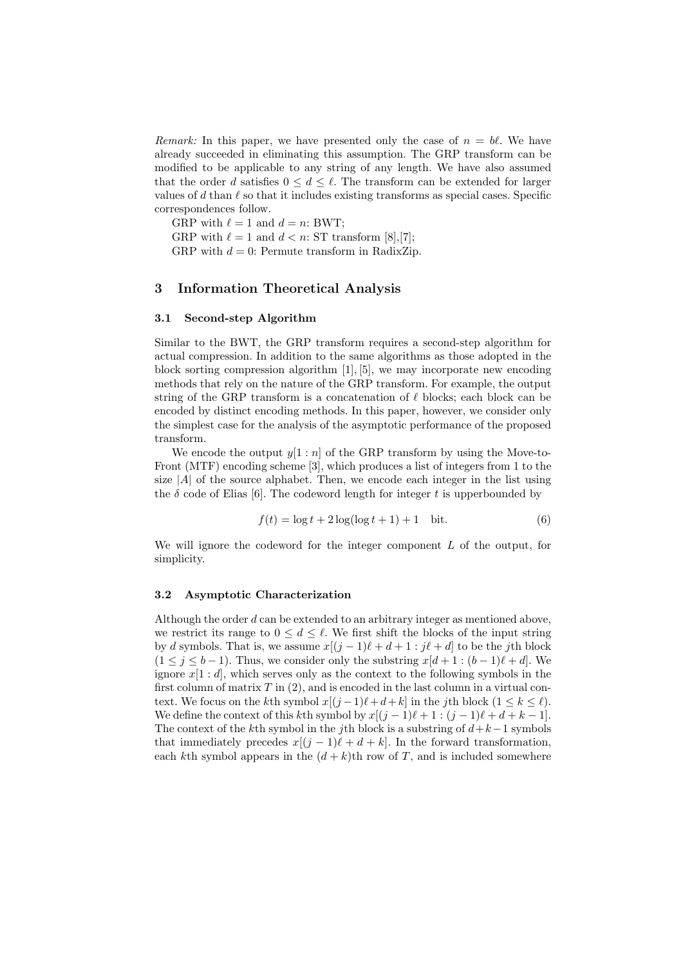*Remark:* In this paper, we have presented only the case of  $n = b\ell$ . We have already succeeded in eliminating this assumption. The GRP transform can be modified to be applicable to any string of any length. We have also assumed that the order *d* satisfies  $0 \leq d \leq \ell$ . The transform can be extended for larger values of *d* than  $\ell$  so that it includes existing transforms as special cases. Specific correspondences follow.

GRP with  $\ell = 1$  and  $d = n$ : BWT;

GRP with  $\ell = 1$  and  $d < n$ : ST transform [8], [7];

GRP with  $d = 0$ : Permute transform in RadixZip.

## **3 Information Theoretical Analysis**

## **3.1 Second-step Algorithm**

Similar to the BWT, the GRP transform requires a second-step algorithm for actual compression. In addition to the same algorithms as those adopted in the block sorting compression algorithm [1], [5], we may incorporate new encoding methods that rely on the nature of the GRP transform. For example, the output string of the GRP transform is a concatenation of  $\ell$  blocks; each block can be encoded by distinct encoding methods. In this paper, however, we consider only the simplest case for the analysis of the asymptotic performance of the proposed transform.

We encode the output  $y[1:n]$  of the GRP transform by using the Move-to-Front (MTF) encoding scheme [3], which produces a list of integers from 1 to the size  $|A|$  of the source alphabet. Then, we encode each integer in the list using the  $\delta$  code of Elias [6]. The codeword length for integer  $t$  is upperbounded by

$$
f(t) = \log t + 2\log(\log t + 1) + 1
$$
 bit. (6)

We will ignore the codeword for the integer component *L* of the output, for simplicity.

#### **3.2 Asymptotic Characterization**

Although the order *d* can be extended to an arbitrary integer as mentioned above, we restrict its range to  $0 \leq d \leq \ell$ . We first shift the blocks of the input string by *d* symbols. That is, we assume  $x[(j-1)\ell + d + 1 : j\ell + d]$  to be the *j*th block  $(1 \leq j \leq b-1)$ . Thus, we consider only the substring  $x[d+1:(b-1)\ell+d]$ . We ignore  $x[1:d]$ , which serves only as the context to the following symbols in the first column of matrix *T* in (2), and is encoded in the last column in a virtual context. We focus on the *k*th symbol  $x[(j-1)\ell+d+k]$  in the *j*th block  $(1 \leq k \leq \ell)$ . We define the context of this *k*th symbol by  $x[(j-1)\ell+1:(j-1)\ell+d+k-1]$ . The context of the *k*th symbol in the *j*th block is a substring of *d*+*k−*1 symbols that immediately precedes  $x[(j - 1)\ell + d + k]$ . In the forward transformation, each *k*th symbol appears in the  $(d + k)$ th row of *T*, and is included somewhere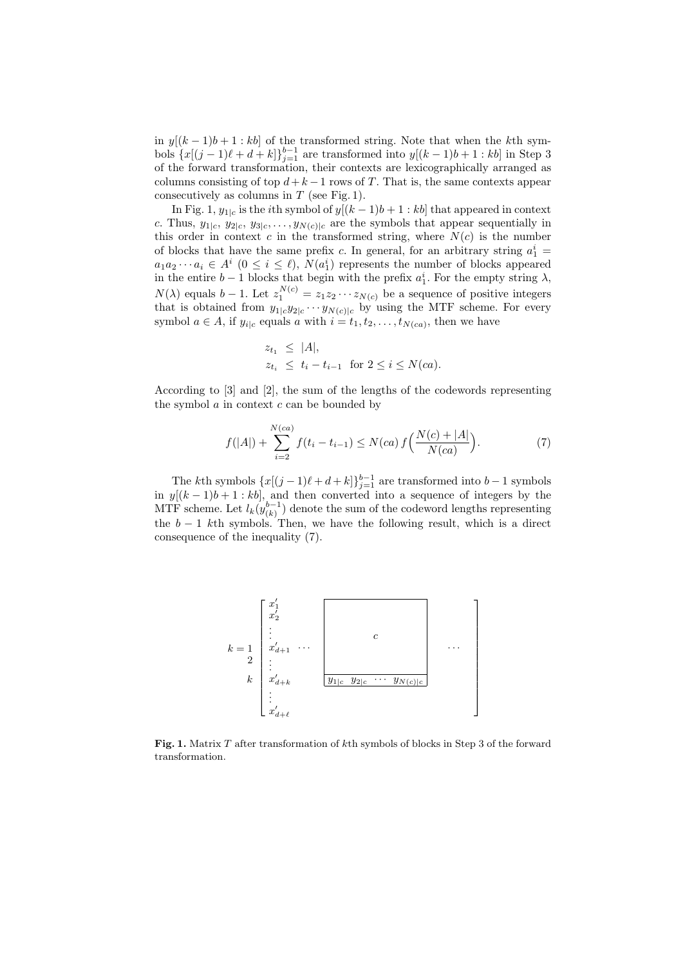in  $y[(k-1)b+1:kb]$  of the transformed string. Note that when the k<sup>th</sup> symbols  ${x[(j - 1)\ell + d + k]}_{j=1}^{b-1}$  are transformed into  $y[(k - 1)b + 1 : kb]$  in Step 3 of the forward transformation, their contexts are lexicographically arranged as columns consisting of top  $d + k - 1$  rows of *T*. That is, the same contexts appear consecutively as columns in *T* (see Fig. 1).

In Fig. 1,  $y_{1|c}$  is the *i*th symbol of  $y[(k-1)b+1:kb]$  that appeared in context *c*. Thus,  $y_{1|c}$ ,  $y_{2|c}$ ,  $y_{3|c}$ , ...,  $y_{N(c)|c}$  are the symbols that appear sequentially in this order in context  $c$  in the transformed string, where  $N(c)$  is the number of blocks that have the same prefix *c*. In general, for an arbitrary string  $a_1^i$  =  $a_1 a_2 \cdots a_i \in A^i \ (0 \leq i \leq \ell), \ N(a_1^i)$  represents the number of blocks appeared in the entire *b* − 1 blocks that begin with the prefix  $a_1^i$ . For the empty string  $\lambda$ ,  $N(\lambda)$  equals  $b-1$ . Let  $z_1^{N(c)} = z_1 z_2 \cdots z_{N(c)}$  be a sequence of positive integers that is obtained from  $y_{1|c}y_{2|c} \cdots y_{N(c)|c}$  by using the MTF scheme. For every symbol  $a \in A$ , if  $y_{i|c}$  equals  $a$  with  $i = t_1, t_2, \ldots, t_{N(ca)}$ , then we have

$$
z_{t_1} \le |A|,
$$
  
\n
$$
z_{t_i} \le t_i - t_{i-1} \text{ for } 2 \le i \le N(ca).
$$

According to [3] and [2], the sum of the lengths of the codewords representing the symbol *a* in context *c* can be bounded by

$$
f(|A|) + \sum_{i=2}^{N(ca)} f(t_i - t_{i-1}) \le N(ca) f\left(\frac{N(c) + |A|}{N(ca)}\right). \tag{7}
$$

The *k*th symbols  $\{x[(j-1)\ell+d+k]\}_{j=1}^{b-1}$  are transformed into *b* − 1 symbols in  $y[(k-1)b+1:kb]$ , and then converted into a sequence of integers by the MTF scheme. Let  $l_k(y_{(k)}^{b-1})$  denote the sum of the codeword lengths representing the *b −* 1 *k*th symbols. Then, we have the following result, which is a direct consequence of the inequality (7).



**Fig. 1.** Matrix *T* after transformation of *k*th symbols of blocks in Step 3 of the forward transformation.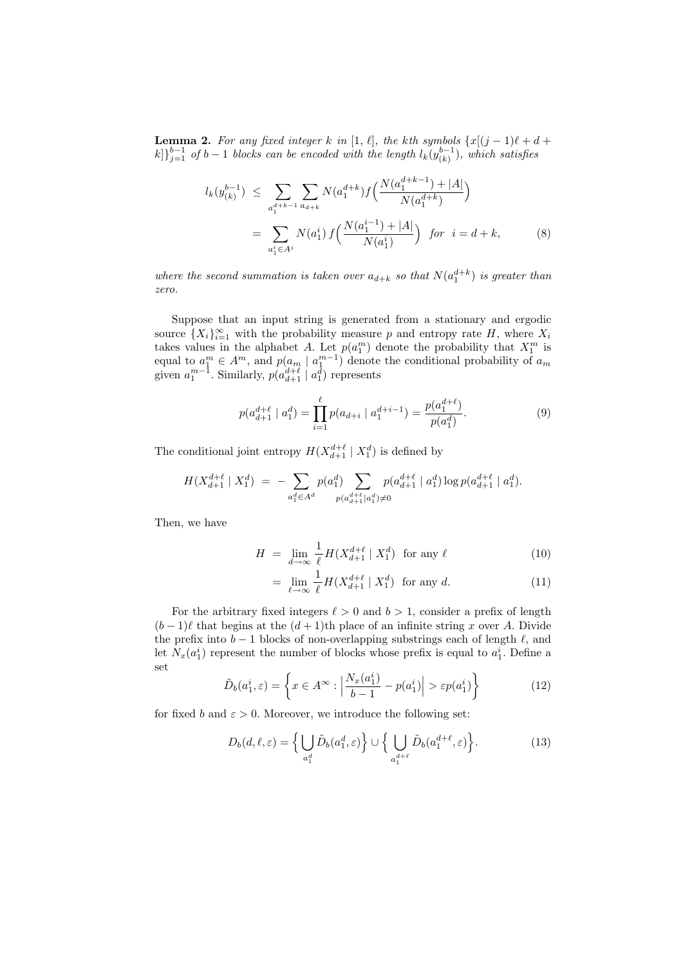**Lemma 2.** For any fixed integer *k* in [1,  $\ell$ ], the *k*th symbols  $\{x[(j-1)\ell + d + \ell\}$  $k$ <sup>*j*</sup><sup>*j*</sup><sup>*-*</sup><sup>1</sup> *of b* − 1 *blocks can be encoded with the length*  $l_k(y_{(k)}^{b-1})$ , which satisfies

$$
l_k(y_{(k)}^{b-1}) \leq \sum_{a_1^{d+k-1}} \sum_{a_{d+k}} N(a_1^{d+k}) f\Big(\frac{N(a_1^{d+k-1}) + |A|}{N(a_1^{d+k})}\Big)
$$
  
= 
$$
\sum_{a_1^i \in A^i} N(a_1^i) f\Big(\frac{N(a_1^{i-1}) + |A|}{N(a_1^i)}\Big) \text{ for } i = d+k,
$$
 (8)

*where the second summation is taken over*  $a_{d+k}$  *so that*  $N(a_1^{d+k})$  *is greater than zero.*

Suppose that an input string is generated from a stationary and ergodic source  $\{X_i\}_{i=1}^{\infty}$  with the probability measure *p* and entropy rate *H*, where  $X_i$ takes values in the alphabet *A*. Let  $p(a_1^m)$  denote the probability that  $X_1^m$  is equal to  $a_1^m \in A^m$ , and  $p(a_m \mid a_1^{m-1})$  denote the conditional probability of  $a_m$ given  $a_1^{m-1}$ . Similarly,  $p(a_{d+1}^{d+\ell} \mid a_1^{\bar{d}})$  represents

$$
p(a_{d+1}^{d+\ell} \mid a_1^d) = \prod_{i=1}^{\ell} p(a_{d+i} \mid a_1^{d+i-1}) = \frac{p(a_1^{d+\ell})}{p(a_1^d)}.
$$
 (9)

The conditional joint entropy  $H(X_{d+1}^{d+\ell} | X_1^d)$  is defined by

$$
H(X_{d+1}^{d+\ell} | X_1^d) = - \sum_{a_1^d \in A^d} p(a_1^d) \sum_{p(a_{d+1}^{d+\ell} | a_1^d) \neq 0} p(a_{d+1}^{d+\ell} | a_1^d) \log p(a_{d+1}^{d+\ell} | a_1^d).
$$

Then, we have

$$
H = \lim_{d \to \infty} \frac{1}{\ell} H(X_{d+1}^{d+\ell} \mid X_1^d) \text{ for any } \ell
$$
 (10)

$$
= \lim_{\ell \to \infty} \frac{1}{\ell} H(X_{d+1}^{d+\ell} \mid X_1^d) \text{ for any } d. \tag{11}
$$

For the arbitrary fixed integers  $\ell > 0$  and  $b > 1$ , consider a prefix of length  $(b-1)\ell$  that begins at the  $(d+1)$ th place of an infinite string *x* over *A*. Divide the prefix into  $b - 1$  blocks of non-overlapping substrings each of length  $\ell$ , and let  $N_x(a_1^i)$  represent the number of blocks whose prefix is equal to  $a_1^i$ . Define a set

$$
\tilde{D}_b(a_1^i, \varepsilon) = \left\{ x \in A^\infty : \left| \frac{N_x(a_1^i)}{b - 1} - p(a_1^i) \right| > \varepsilon p(a_1^i) \right\} \tag{12}
$$

for fixed *b* and  $\varepsilon > 0$ . Moreover, we introduce the following set:

$$
D_b(d,\ell,\varepsilon) = \Big\{ \bigcup_{a_1^d} \tilde{D}_b(a_1^d,\varepsilon) \Big\} \cup \Big\{ \bigcup_{a_1^{d+\ell}} \tilde{D}_b(a_1^{d+\ell},\varepsilon) \Big\}.
$$
 (13)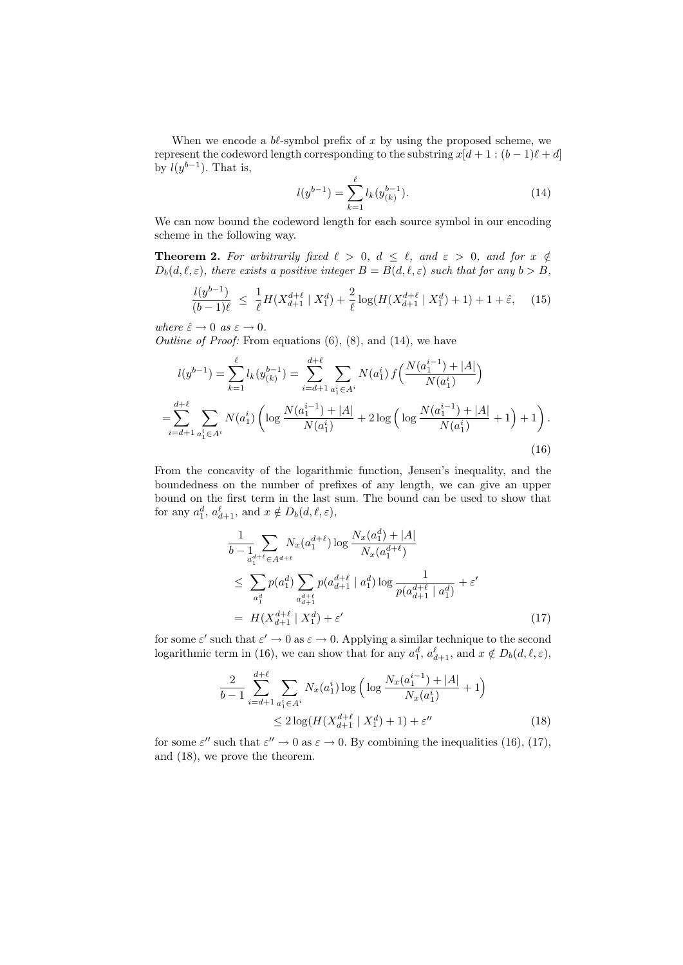When we encode a  $b\ell$ -symbol prefix of  $x$  by using the proposed scheme, we represent the codeword length corresponding to the substring  $x[d + 1 : (b - 1)\ell + d]$ by  $l(y^{b-1})$ . That is,

$$
l(y^{b-1}) = \sum_{k=1}^{\ell} l_k(y_{(k)}^{b-1}).
$$
\n(14)

We can now bound the codeword length for each source symbol in our encoding scheme in the following way.

**Theorem 2.** For arbitrarily fixed  $\ell > 0$ ,  $d \leq \ell$ , and  $\varepsilon > 0$ , and for  $x \notin \ell$  $D_b(d, \ell, \varepsilon)$ , there exists a positive integer  $B = B(d, \ell, \varepsilon)$  such that for any  $b > B$ ,

$$
\frac{l(y^{b-1})}{(b-1)\ell} \le \frac{1}{\ell} H(X_{d+1}^{d+\ell} \mid X_1^d) + \frac{2}{\ell} \log(H(X_{d+1}^{d+\ell} \mid X_1^d) + 1) + 1 + \hat{\varepsilon}, \quad (15)
$$

*where*  $\hat{\varepsilon} \to 0$  *as*  $\varepsilon \to 0$ *.* 

*Outline of Proof:* From equations  $(6)$ ,  $(8)$ , and  $(14)$ , we have

$$
l(y^{b-1}) = \sum_{k=1}^{\ell} l_k(y_{(k)}^{b-1}) = \sum_{i=d+1}^{d+\ell} \sum_{\substack{a_i^i \in A^i}} N(a_1^i) f\left(\frac{N(a_1^{i-1}) + |A|}{N(a_1^i)}\right)
$$
  
=
$$
\sum_{i=d+1}^{d+\ell} \sum_{\substack{a_1^i \in A^i}} N(a_1^i) \left(\log \frac{N(a_1^{i-1}) + |A|}{N(a_1^i)} + 2 \log \left(\log \frac{N(a_1^{i-1}) + |A|}{N(a_1^i)} + 1\right) + 1\right).
$$
 (16)

From the concavity of the logarithmic function, Jensen's inequality, and the boundedness on the number of prefixes of any length, we can give an upper bound on the first term in the last sum. The bound can be used to show that for any  $a_1^d$ ,  $a_{d+1}^{\ell}$ , and  $x \notin D_b(d, \ell, \varepsilon)$ ,

$$
\frac{1}{b - \sum_{a_1^d+e} \sum_{\epsilon \in A^{d+\ell}} N_x(a_1^{d+\ell}) \log \frac{N_x(a_1^d) + |A|}{N_x(a_1^{d+\ell})}
$$
\n
$$
\leq \sum_{a_1^d} p(a_1^d) \sum_{\substack{a_{d+\ell}^d \\ a_{d+1}^d}} p(a_{d+1}^{d+\ell} | a_1^d) \log \frac{1}{p(a_{d+1}^{d+\ell} | a_1^d)} + \varepsilon'
$$
\n
$$
= H(X_{d+1}^{d+\ell} | X_1^d) + \varepsilon'
$$
\n(17)

for some  $\varepsilon'$  such that  $\varepsilon' \to 0$  as  $\varepsilon \to 0$ . Applying a similar technique to the second logarithmic term in (16), we can show that for any  $a_1^d$ ,  $a_{d+1}^{\ell}$ , and  $x \notin D_b(d, \ell, \varepsilon)$ ,

$$
\frac{2}{b-1} \sum_{i=d+1}^{d+\ell} \sum_{a_1^i \in A^i} N_x(a_1^i) \log \left( \log \frac{N_x(a_1^{i-1}) + |A|}{N_x(a_1^i)} + 1 \right)
$$
  
 
$$
\leq 2 \log(H(X_{d+1}^{d+\ell} | X_1^d) + 1) + \varepsilon''
$$
 (18)

for some  $\varepsilon''$  such that  $\varepsilon'' \to 0$  as  $\varepsilon \to 0$ . By combining the inequalities (16), (17), and (18), we prove the theorem.